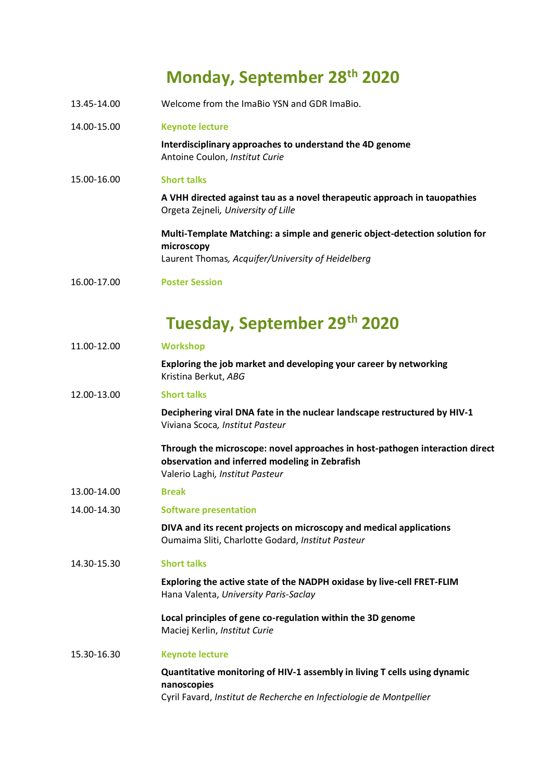## **Monday, September 28th 2020**

- 13.45-14.00 Welcome from the ImaBio YSN and GDR ImaBio.
- 14.00-15.00 **Keynote lecture**

**Interdisciplinary approaches to understand the 4D genome** Antoine Coulon, *Institut Curie*

15.00-16.00 **Short talks**

**A VHH directed against tau as a novel therapeutic approach in tauopathies**  Orgeta Zejneli*, University of Lille*

**Multi-Template Matching: a simple and generic object-detection solution for microscopy** Laurent Thomas*, Acquifer/University of Heidelberg*

16.00-17.00 **Poster Session**

## **Tuesday, September 29th 2020**

| 11.00-12.00 | <b>Workshop</b>                                                                                                                                                   |
|-------------|-------------------------------------------------------------------------------------------------------------------------------------------------------------------|
|             | Exploring the job market and developing your career by networking<br>Kristina Berkut, ABG                                                                         |
| 12.00-13.00 | <b>Short talks</b>                                                                                                                                                |
|             | Deciphering viral DNA fate in the nuclear landscape restructured by HIV-1<br>Viviana Scoca, Institut Pasteur                                                      |
|             | Through the microscope: novel approaches in host-pathogen interaction direct<br>observation and inferred modeling in Zebrafish<br>Valerio Laghi, Institut Pasteur |
| 13.00-14.00 | <b>Break</b>                                                                                                                                                      |
| 14.00-14.30 | <b>Software presentation</b>                                                                                                                                      |
|             | DIVA and its recent projects on microscopy and medical applications<br>Oumaima Sliti, Charlotte Godard, Institut Pasteur                                          |
| 14.30-15.30 | <b>Short talks</b>                                                                                                                                                |
|             | Exploring the active state of the NADPH oxidase by live-cell FRET-FLIM<br>Hana Valenta, University Paris-Saclay                                                   |
|             | Local principles of gene co-regulation within the 3D genome<br>Maciej Kerlin, Institut Curie                                                                      |
| 15.30-16.30 | <b>Keynote lecture</b>                                                                                                                                            |
|             | Quantitative monitoring of HIV-1 assembly in living T cells using dynamic<br>nanoscopies<br>Cyril Favard, Institut de Recherche en Infectiologie de Montpellier   |